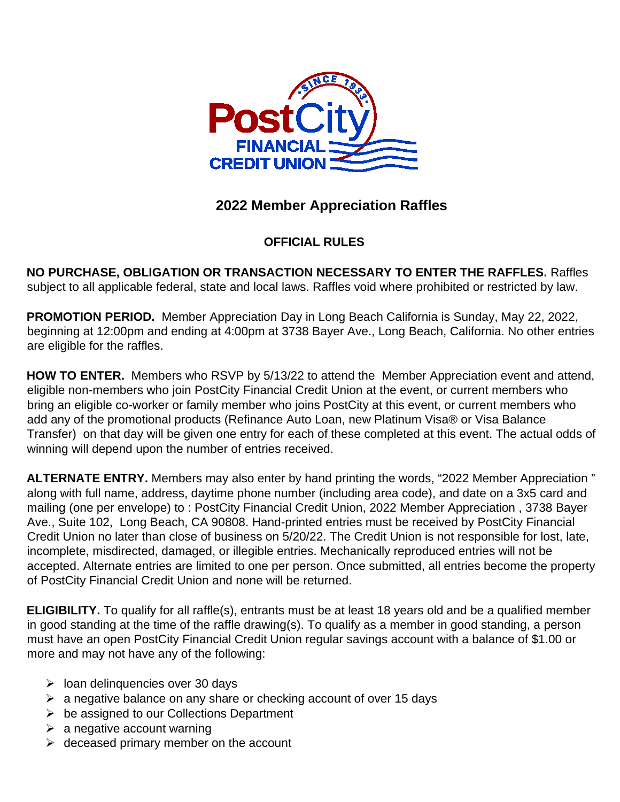

 **2022 Member Appreciation Raffles**

## **OFFICIAL RULES**

**NO PURCHASE, OBLIGATION OR TRANSACTION NECESSARY TO ENTER THE RAFFLES.** Raffles subject to all applicable federal, state and local laws. Raffles void where prohibited or restricted by law.

**PROMOTION PERIOD.** Member Appreciation Day in Long Beach California is Sunday, May 22, 2022, beginning at 12:00pm and ending at 4:00pm at 3738 Bayer Ave., Long Beach, California. No other entries are eligible for the raffles.

**HOW TO ENTER.** Members who RSVP by 5/13/22 to attend the Member Appreciation event and attend, eligible non-members who join PostCity Financial Credit Union at the event, or current members who bring an eligible co-worker or family member who joins PostCity at this event, or current members who add any of the promotional products (Refinance Auto Loan, new Platinum Visa® or Visa Balance Transfer) on that day will be given one entry for each of these completed at this event. The actual odds of winning will depend upon the number of entries received.

**ALTERNATE ENTRY.** Members may also enter by hand printing the words, "2022 Member Appreciation " along with full name, address, daytime phone number (including area code), and date on a 3x5 card and mailing (one per envelope) to : PostCity Financial Credit Union, 2022 Member Appreciation , 3738 Bayer Ave., Suite 102, Long Beach, CA 90808. Hand-printed entries must be received by PostCity Financial Credit Union no later than close of business on 5/20/22. The Credit Union is not responsible for lost, late, incomplete, misdirected, damaged, or illegible entries. Mechanically reproduced entries will not be accepted. Alternate entries are limited to one per person. Once submitted, all entries become the property of PostCity Financial Credit Union and none will be returned.

**ELIGIBILITY.** To qualify for all raffle(s), entrants must be at least 18 years old and be a qualified member in good standing at the time of the raffle drawing(s). To qualify as a member in good standing, a person must have an open PostCity Financial Credit Union regular savings account with a balance of \$1.00 or more and may not have any of the following:

- $\triangleright$  loan delinquencies over 30 days
- $\geq$  a negative balance on any share or checking account of over 15 days
- $\triangleright$  be assigned to our Collections Department
- $\triangleright$  a negative account warning
- $\triangleright$  deceased primary member on the account